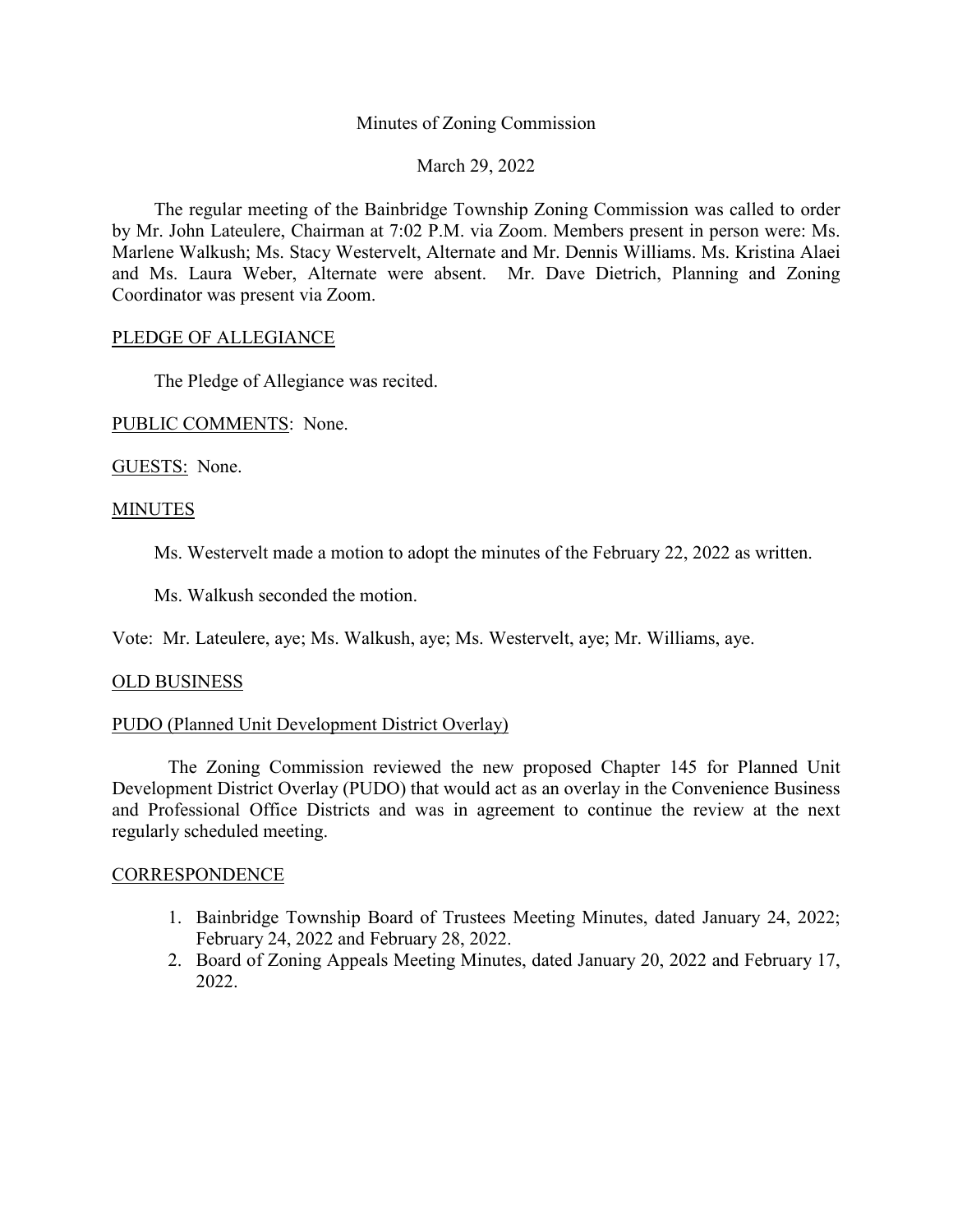# Minutes of Zoning Commission

# March 29, 2022

The regular meeting of the Bainbridge Township Zoning Commission was called to order by Mr. John Lateulere, Chairman at 7:02 P.M. via Zoom. Members present in person were: Ms. Marlene Walkush; Ms. Stacy Westervelt, Alternate and Mr. Dennis Williams. Ms. Kristina Alaei and Ms. Laura Weber, Alternate were absent. Mr. Dave Dietrich, Planning and Zoning Coordinator was present via Zoom.

## PLEDGE OF ALLEGIANCE

The Pledge of Allegiance was recited.

PUBLIC COMMENTS: None.

GUESTS: None.

### **MINUTES**

Ms. Westervelt made a motion to adopt the minutes of the February 22, 2022 as written.

Ms. Walkush seconded the motion.

Vote: Mr. Lateulere, aye; Ms. Walkush, aye; Ms. Westervelt, aye; Mr. Williams, aye.

### OLD BUSINESS

## PUDO (Planned Unit Development District Overlay)

The Zoning Commission reviewed the new proposed Chapter 145 for Planned Unit Development District Overlay (PUDO) that would act as an overlay in the Convenience Business and Professional Office Districts and was in agreement to continue the review at the next regularly scheduled meeting.

### **CORRESPONDENCE**

- 1. Bainbridge Township Board of Trustees Meeting Minutes, dated January 24, 2022; February 24, 2022 and February 28, 2022.
- 2. Board of Zoning Appeals Meeting Minutes, dated January 20, 2022 and February 17, 2022.